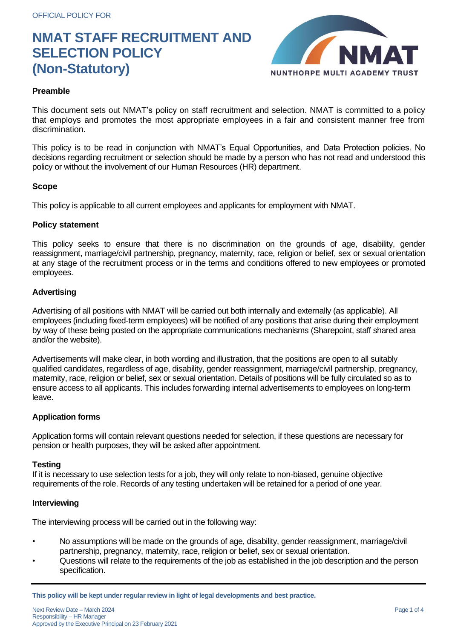

# **Preamble**

This document sets out NMAT's policy on staff recruitment and selection. NMAT is committed to a policy that employs and promotes the most appropriate employees in a fair and consistent manner free from discrimination.

This policy is to be read in conjunction with NMAT's Equal Opportunities, and Data Protection policies. No decisions regarding recruitment or selection should be made by a person who has not read and understood this policy or without the involvement of our Human Resources (HR) department.

### **Scope**

This policy is applicable to all current employees and applicants for employment with NMAT.

### **Policy statement**

This policy seeks to ensure that there is no discrimination on the grounds of age, disability, gender reassignment, marriage/civil partnership, pregnancy, maternity, race, religion or belief, sex or sexual orientation at any stage of the recruitment process or in the terms and conditions offered to new employees or promoted employees.

## **Advertising**

Advertising of all positions with NMAT will be carried out both internally and externally (as applicable). All employees (including fixed-term employees) will be notified of any positions that arise during their employment by way of these being posted on the appropriate communications mechanisms (Sharepoint, staff shared area and/or the website).

Advertisements will make clear, in both wording and illustration, that the positions are open to all suitably qualified candidates, regardless of age, disability, gender reassignment, marriage/civil partnership, pregnancy, maternity, race, religion or belief, sex or sexual orientation. Details of positions will be fully circulated so as to ensure access to all applicants. This includes forwarding internal advertisements to employees on long-term leave.

## **Application forms**

Application forms will contain relevant questions needed for selection, if these questions are necessary for pension or health purposes, they will be asked after appointment.

#### **Testing**

If it is necessary to use selection tests for a job, they will only relate to non-biased, genuine objective requirements of the role. Records of any testing undertaken will be retained for a period of one year.

#### **Interviewing**

The interviewing process will be carried out in the following way:

- No assumptions will be made on the grounds of age, disability, gender reassignment, marriage/civil partnership, pregnancy, maternity, race, religion or belief, sex or sexual orientation.
- Questions will relate to the requirements of the job as established in the job description and the person specification.

**This policy will be kept under regular review in light of legal developments and best practice.**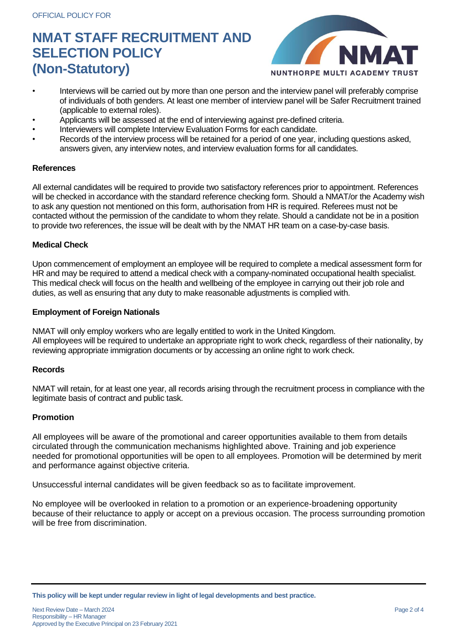

- Interviews will be carried out by more than one person and the interview panel will preferably comprise of individuals of both genders. At least one member of interview panel will be Safer Recruitment trained (applicable to external roles).
- Applicants will be assessed at the end of interviewing against pre-defined criteria.
- Interviewers will complete Interview Evaluation Forms for each candidate.
- Records of the interview process will be retained for a period of one year, including questions asked, answers given, any interview notes, and interview evaluation forms for all candidates.

#### **References**

All external candidates will be required to provide two satisfactory references prior to appointment. References will be checked in accordance with the standard reference checking form. Should a NMAT/or the Academy wish to ask any question not mentioned on this form, authorisation from HR is required. Referees must not be contacted without the permission of the candidate to whom they relate. Should a candidate not be in a position to provide two references, the issue will be dealt with by the NMAT HR team on a case-by-case basis.

### **Medical Check**

Upon commencement of employment an employee will be required to complete a medical assessment form for HR and may be required to attend a medical check with a company-nominated occupational health specialist. This medical check will focus on the health and wellbeing of the employee in carrying out their job role and duties, as well as ensuring that any duty to make reasonable adjustments is complied with.

### **Employment of Foreign Nationals**

NMAT will only employ workers who are legally entitled to work in the United Kingdom. All employees will be required to undertake an appropriate right to work check, regardless of their nationality, by reviewing appropriate immigration documents or by accessing an online right to work check.

#### **Records**

NMAT will retain, for at least one year, all records arising through the recruitment process in compliance with the legitimate basis of contract and public task.

#### **Promotion**

All employees will be aware of the promotional and career opportunities available to them from details circulated through the communication mechanisms highlighted above. Training and job experience needed for promotional opportunities will be open to all employees. Promotion will be determined by merit and performance against objective criteria.

Unsuccessful internal candidates will be given feedback so as to facilitate improvement.

No employee will be overlooked in relation to a promotion or an experience-broadening opportunity because of their reluctance to apply or accept on a previous occasion. The process surrounding promotion will be free from discrimination.

**This policy will be kept under regular review in light of legal developments and best practice.**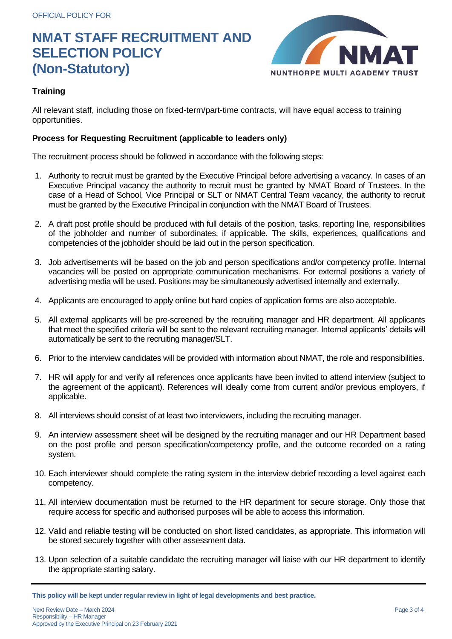

# **Training**

All relevant staff, including those on fixed-term/part-time contracts, will have equal access to training opportunities.

# **Process for Requesting Recruitment (applicable to leaders only)**

The recruitment process should be followed in accordance with the following steps:

- 1. Authority to recruit must be granted by the Executive Principal before advertising a vacancy. In cases of an Executive Principal vacancy the authority to recruit must be granted by NMAT Board of Trustees. In the case of a Head of School, Vice Principal or SLT or NMAT Central Team vacancy, the authority to recruit must be granted by the Executive Principal in conjunction with the NMAT Board of Trustees.
- 2. A draft post profile should be produced with full details of the position, tasks, reporting line, responsibilities of the jobholder and number of subordinates, if applicable. The skills, experiences, qualifications and competencies of the jobholder should be laid out in the person specification.
- 3. Job advertisements will be based on the job and person specifications and/or competency profile. Internal vacancies will be posted on appropriate communication mechanisms. For external positions a variety of advertising media will be used. Positions may be simultaneously advertised internally and externally.
- 4. Applicants are encouraged to apply online but hard copies of application forms are also acceptable.
- 5. All external applicants will be pre-screened by the recruiting manager and HR department. All applicants that meet the specified criteria will be sent to the relevant recruiting manager. Internal applicants' details will automatically be sent to the recruiting manager/SLT.
- 6. Prior to the interview candidates will be provided with information about NMAT, the role and responsibilities.
- 7. HR will apply for and verify all references once applicants have been invited to attend interview (subject to the agreement of the applicant). References will ideally come from current and/or previous employers, if applicable.
- 8. All interviews should consist of at least two interviewers, including the recruiting manager.
- 9. An interview assessment sheet will be designed by the recruiting manager and our HR Department based on the post profile and person specification/competency profile, and the outcome recorded on a rating system.
- 10. Each interviewer should complete the rating system in the interview debrief recording a level against each competency.
- 11. All interview documentation must be returned to the HR department for secure storage. Only those that require access for specific and authorised purposes will be able to access this information.
- 12. Valid and reliable testing will be conducted on short listed candidates, as appropriate. This information will be stored securely together with other assessment data.
- 13. Upon selection of a suitable candidate the recruiting manager will liaise with our HR department to identify the appropriate starting salary.

**This policy will be kept under regular review in light of legal developments and best practice.**